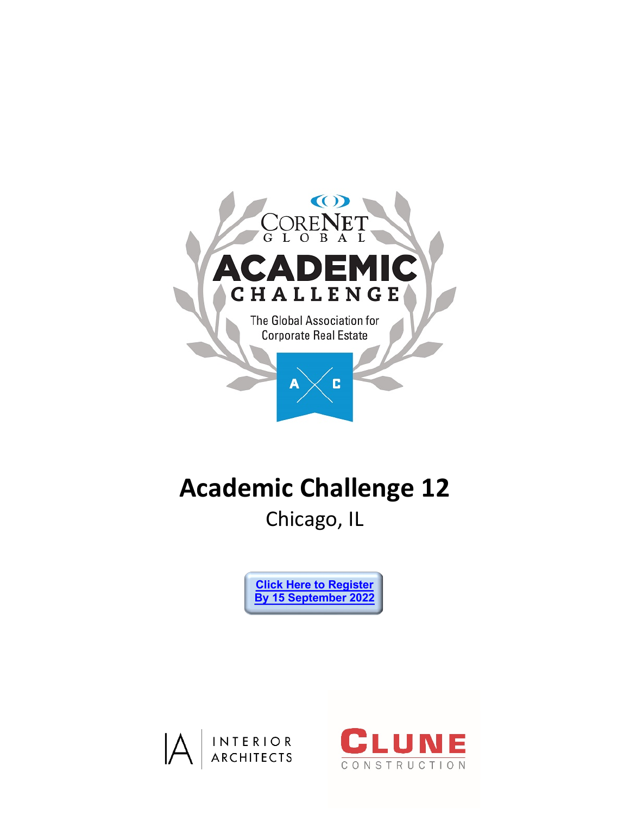

# **Academic Challenge 12**

Chicago, IL

**[Click Here to Register](https://academicchallenge.secure-platform.com/a) By 15 [September](https://academicchallenge.secure-platform.com/a) 2022**



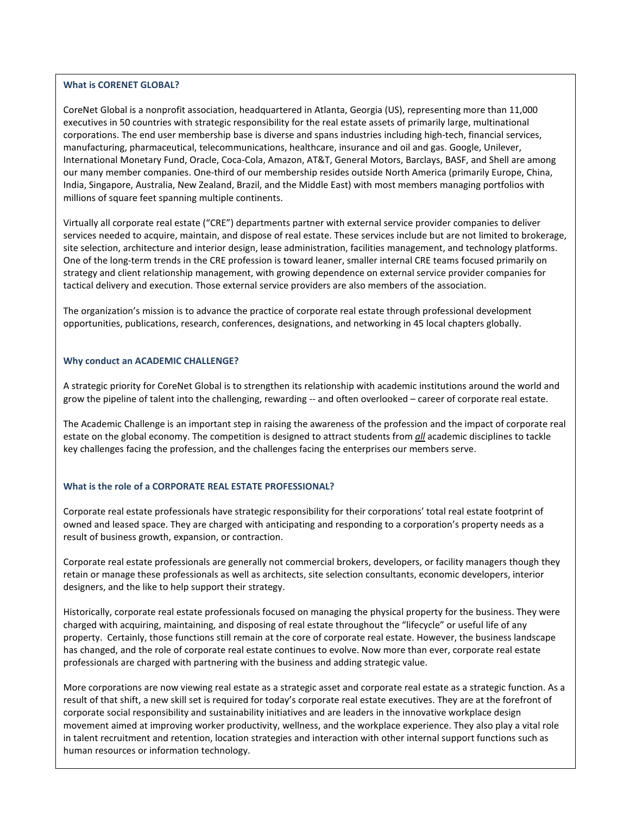#### **What is CORENET GLOBAL?**

CoreNet Global is a nonprofit association, headquartered in Atlanta, Georgia (US), representing more than 11,000 executives in 50 countries with strategic responsibility for the real estate assets of primarily large, multinational corporations. The end user membership base is diverse and spans industries including high-tech, financial services, manufacturing, pharmaceutical, telecommunications, healthcare, insurance and oil and gas. Google, Unilever, International Monetary Fund, Oracle, Coca-Cola, Amazon, AT&T, General Motors, Barclays, BASF, and Shell are among our many member companies. One-third of our membership resides outside North America (primarily Europe, China, India, Singapore, Australia, New Zealand, Brazil, and the Middle East) with most members managing portfolios with millions of square feet spanning multiple continents.

Virtually all corporate real estate ("CRE") departments partner with external service provider companies to deliver services needed to acquire, maintain, and dispose of real estate. These services include but are not limited to brokerage, site selection, architecture and interior design, lease administration, facilities management, and technology platforms. One of the long-term trends in the CRE profession is toward leaner, smaller internal CRE teams focused primarily on strategy and client relationship management, with growing dependence on external service provider companies for tactical delivery and execution. Those external service providers are also members of the association.

The organization's mission is to advance the practice of corporate real estate through professional development opportunities, publications, research, conferences, designations, and networking in 45 local chapters globally.

#### **Why conduct an ACADEMIC CHALLENGE?**

A strategic priority for CoreNet Global is to strengthen its relationship with academic institutions around the world and grow the pipeline of talent into the challenging, rewarding -- and often overlooked – career of corporate real estate.

The Academic Challenge is an important step in raising the awareness of the profession and the impact of corporate real estate on the global economy. The competition is designed to attract students from *all* academic disciplines to tackle key challenges facing the profession, and the challenges facing the enterprises our members serve.

#### **What is the role of a CORPORATE REAL ESTATE PROFESSIONAL?**

Corporate real estate professionals have strategic responsibility for their corporations' total real estate footprint of owned and leased space. They are charged with anticipating and responding to a corporation's property needs as a result of business growth, expansion, or contraction.

Corporate real estate professionals are generally not commercial brokers, developers, or facility managers though they retain or manage these professionals as well as architects, site selection consultants, economic developers, interior designers, and the like to help support their strategy.

Historically, corporate real estate professionals focused on managing the physical property for the business. They were charged with acquiring, maintaining, and disposing of real estate throughout the "lifecycle" or useful life of any property. Certainly, those functions still remain at the core of corporate real estate. However, the business landscape has changed, and the role of corporate real estate continues to evolve. Now more than ever, corporate real estate professionals are charged with partnering with the business and adding strategic value.

Academic Challenge and Hispanistic Global.org<br>Academic Corentains and academic continues and academic in talent recruitment and retention, location strategies and interaction with other internal support functions such as human resources or information technology. More corporations are now viewing real estate as a strategic asset and corporate real estate as a strategic function. As a result of that shift, a new skill set is required for today's corporate real estate executives. They are at the forefront of corporate social responsibility and sustainability initiatives and are leaders in the innovative workplace design movement aimed at improving worker productivity, wellness, and the workplace experience. They also play a vital role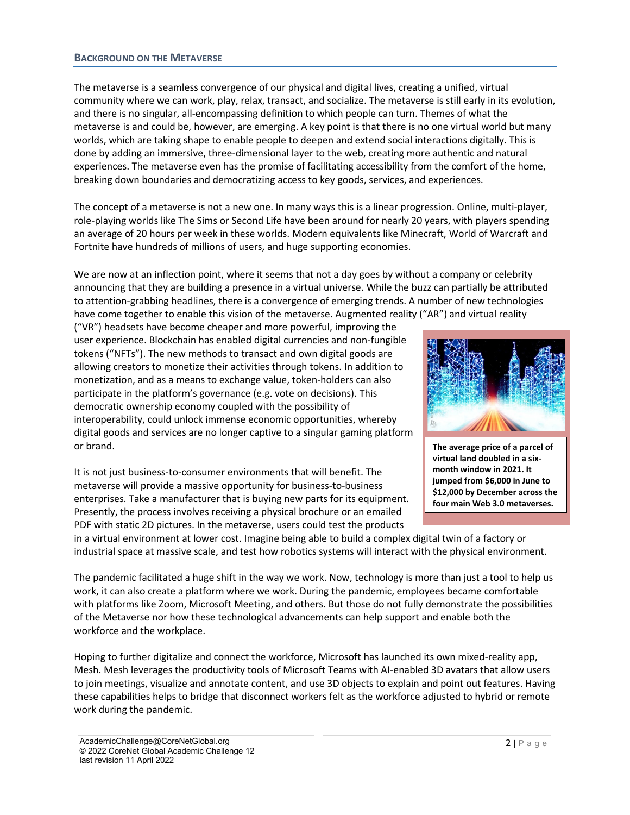#### **BACKGROUND ON THE METAVERSE**

The metaverse is a seamless convergence of our physical and digital lives, creating a unified, virtual community where we can work, play, relax, transact, and socialize. The metaverse is still early in its evolution, and there is no singular, all-encompassing definition to which people can turn. Themes of what the metaverse is and could be, however, are emerging. A key point is that there is no one virtual world but many worlds, which are taking shape to enable people to deepen and extend social interactions digitally. This is done by adding an immersive, three-dimensional layer to the web, creating more authentic and natural experiences. The metaverse even has the promise of facilitating accessibility from the comfort of the home, breaking down boundaries and democratizing access to key goods, services, and experiences.

The concept of a metaverse is not a new one. In many ways this is a linear progression. Online, multi-player, role-playing worlds like The Sims or Second Life have been around for nearly 20 years, with players spending an average of 20 hours per week in these worlds. Modern equivalents like Minecraft, World of Warcraft and Fortnite have hundreds of millions of users, and huge supporting economies.

We are now at an inflection point, where it seems that not a day goes by without a company or celebrity announcing that they are building a presence in a virtual universe. While the buzz can partially be attributed to attention-grabbing headlines, there is a convergence of emerging trends. A number of new technologies have come together to enable this vision of the metaverse. Augmented reality ("AR") and virtual reality

("VR") headsets have become cheaper and more powerful, improving the user experience. Blockchain has enabled digital currencies and non-fungible tokens ("NFTs"). The new methods to transact and own digital goods are allowing creators to monetize their activities through tokens. In addition to monetization, and as a means to exchange value, token-holders can also participate in the platform's governance (e.g. vote on decisions). This democratic ownership economy coupled with the possibility of interoperability, could unlock immense economic opportunities, whereby digital goods and services are no longer captive to a singular gaming platform or brand.

It is not just business-to-consumer environments that will benefit. The metaverse will provide a massive opportunity for business-to-business enterprises. Take a manufacturer that is buying new parts for its equipment. Presently, the process involves receiving a physical brochure or an emailed PDF with static 2D pictures. In the metaverse, users could test the products



**The average price of a parcel of virtual land doubled in a sixmonth window in 2021. It jumped from \$6,000 in June to \$12,000 by December across the four main Web 3.0 metaverses.**

in a virtual environment at lower cost. Imagine being able to build a complex digital twin of a factory or industrial space at massive scale, and test how robotics systems will interact with the physical environment.

The pandemic facilitated a huge shift in the way we work. Now, technology is more than just a tool to help us work, it can also create a platform where we work. During the pandemic, employees became comfortable with platforms like Zoom, Microsoft Meeting, and others. But those do not fully demonstrate the possibilities of the Metaverse nor how these technological advancements can help support and enable both the workforce and the workplace.

Hoping to further digitalize and connect the workforce, Microsoft has launched its own mixed-reality app, Mesh. Mesh leverages the productivity tools of Microsoft Teams with AI-enabled 3D avatars that allow users to join meetings, visualize and annotate content, and use 3D objects to explain and point out features. Having these capabilities helps to bridge that disconnect workers felt as the workforce adjusted to hybrid or remote work during the pandemic.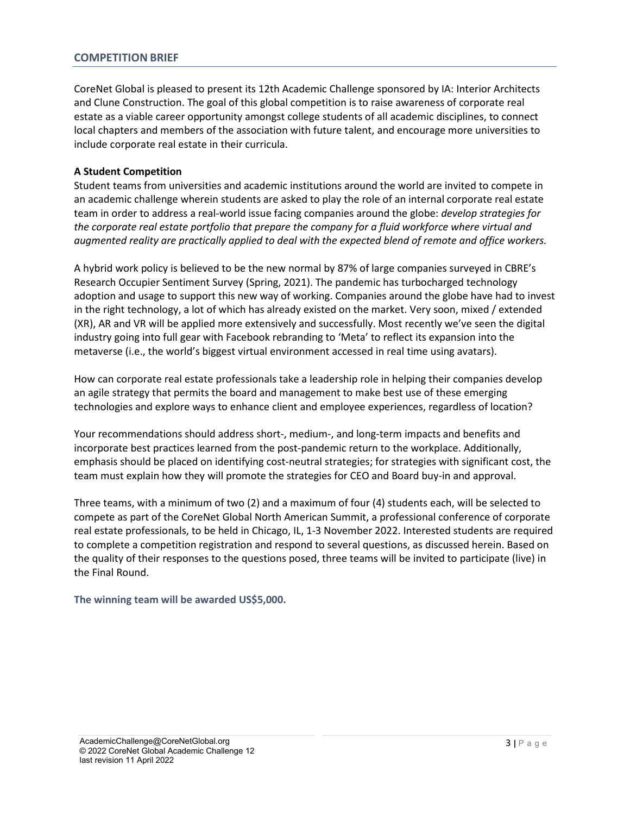#### **COMPETITION BRIEF**

CoreNet Global is pleased to present its 12th Academic Challenge sponsored by IA: Interior Architects and Clune Construction. The goal of this global competition is to raise awareness of corporate real estate as a viable career opportunity amongst college students of all academic disciplines, to connect local chapters and members of the association with future talent, and encourage more universities to include corporate real estate in their curricula.

#### **A Student Competition**

Student teams from universities and academic institutions around the world are invited to compete in an academic challenge wherein students are asked to play the role of an internal corporate real estate team in order to address a real-world issue facing companies around the globe: *develop strategies for the corporate real estate portfolio that prepare the company for a fluid workforce where virtual and augmented reality are practically applied to deal with the expected blend of remote and office workers.*

A hybrid work policy is believed to be the new normal by 87% of large companies surveyed in CBRE's Research Occupier Sentiment Survey (Spring, 2021). The pandemic has turbocharged technology adoption and usage to support this new way of working. Companies around the globe have had to invest in the right technology, a lot of which has already existed on the market. Very soon, mixed / extended (XR), AR and VR will be applied more extensively and successfully. Most recently we've seen the digital industry going into full gear with Facebook rebranding to 'Meta' to reflect its expansion into the metaverse (i.e., the world's biggest virtual environment accessed in real time using avatars).

How can corporate real estate professionals take a leadership role in helping their companies develop an agile strategy that permits the board and management to make best use of these emerging technologies and explore ways to enhance client and employee experiences, regardless of location?

Your recommendations should address short-, medium-, and long-term impacts and benefits and incorporate best practices learned from the post-pandemic return to the workplace. Additionally, emphasis should be placed on identifying cost-neutral strategies; for strategies with significant cost, the team must explain how they will promote the strategies for CEO and Board buy-in and approval.

Three teams, with a minimum of two (2) and a maximum of four (4) students each, will be selected to compete as part of the CoreNet Global North American Summit, a professional conference of corporate real estate professionals, to be held in Chicago, IL, 1-3 November 2022. Interested students are required to complete a competition registration and respond to several questions, as discussed herein. Based on the quality of their responses to the questions posed, three teams will be invited to participate (live) in the Final Round.

**The winning team will be awarded US\$5,000.**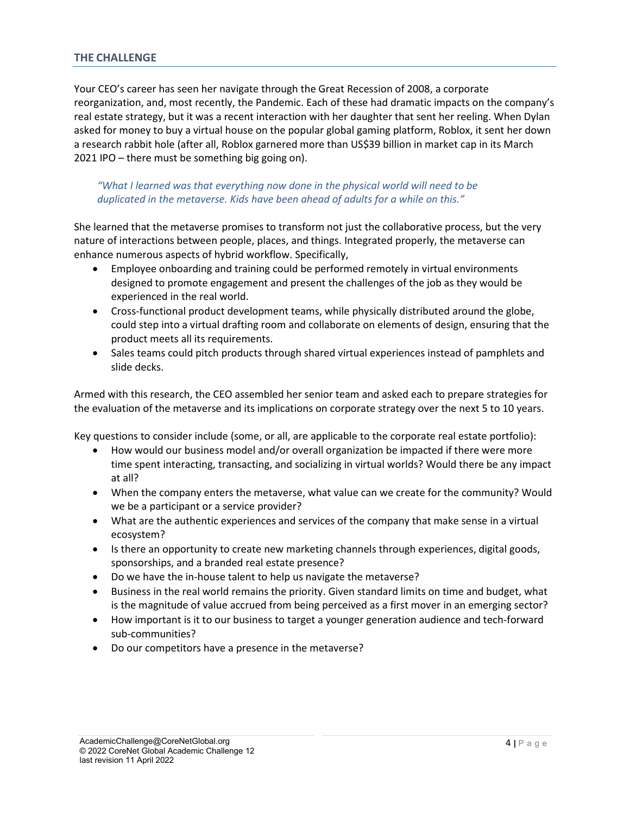#### **THE CHALLENGE**

Your CEO's career has seen her navigate through the Great Recession of 2008, a corporate reorganization, and, most recently, the Pandemic. Each of these had dramatic impacts on the company's real estate strategy, but it was a recent interaction with her daughter that sent her reeling. When Dylan asked for money to buy a virtual house on the popular global gaming platform, Roblox, it sent her down a research rabbit hole (after all, Roblox garnered more than US\$39 billion in market cap in its March 2021 IPO – there must be something big going on).

#### *"What I learned was that everything now done in the physical world will need to be duplicated in the metaverse. Kids have been ahead of adults for a while on this."*

She learned that the metaverse promises to transform not just the collaborative process, but the very nature of interactions between people, places, and things. Integrated properly, the metaverse can enhance numerous aspects of hybrid workflow. Specifically,

- Employee onboarding and training could be performed remotely in virtual environments designed to promote engagement and present the challenges of the job as they would be experienced in the real world.
- Cross-functional product development teams, while physically distributed around the globe, could step into a virtual drafting room and collaborate on elements of design, ensuring that the product meets all its requirements.
- Sales teams could pitch products through shared virtual experiences instead of pamphlets and slide decks.

Armed with this research, the CEO assembled her senior team and asked each to prepare strategies for the evaluation of the metaverse and its implications on corporate strategy over the next 5 to 10 years.

Key questions to consider include (some, or all, are applicable to the corporate real estate portfolio):

- How would our business model and/or overall organization be impacted if there were more time spent interacting, transacting, and socializing in virtual worlds? Would there be any impact at all?
- When the company enters the metaverse, what value can we create for the community? Would we be a participant or a service provider?
- What are the authentic experiences and services of the company that make sense in a virtual ecosystem?
- Is there an opportunity to create new marketing channels through experiences, digital goods, sponsorships, and a branded real estate presence?
- Do we have the in-house talent to help us navigate the metaverse?
- Business in the real world remains the priority. Given standard limits on time and budget, what is the magnitude of value accrued from being perceived as a first mover in an emerging sector?
- How important is it to our business to target a younger generation audience and tech-forward sub-communities?
- Do our competitors have a presence in the metaverse?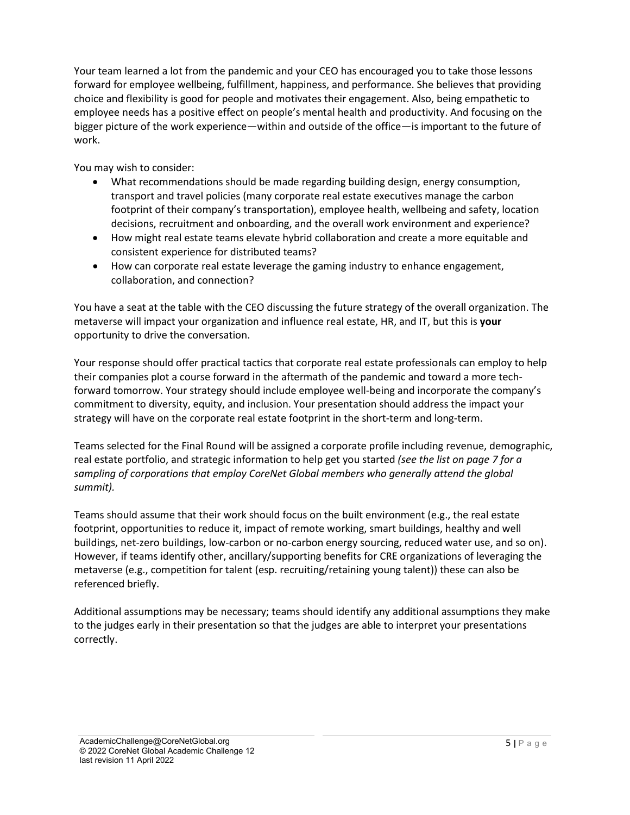Your team learned a lot from the pandemic and your CEO has encouraged you to take those lessons forward for employee wellbeing, fulfillment, happiness, and performance. She believes that providing choice and flexibility is good for people and motivates their engagement. Also, being empathetic to employee needs has a positive effect on people's mental health and productivity. And focusing on the bigger picture of the work experience—within and outside of the office—is important to the future of work.

You may wish to consider:

- What recommendations should be made regarding building design, energy consumption, transport and travel policies (many corporate real estate executives manage the carbon footprint of their company's transportation), employee health, wellbeing and safety, location decisions, recruitment and onboarding, and the overall work environment and experience?
- How might real estate teams elevate hybrid collaboration and create a more equitable and consistent experience for distributed teams?
- How can corporate real estate leverage the gaming industry to enhance engagement, collaboration, and connection?

You have a seat at the table with the CEO discussing the future strategy of the overall organization. The metaverse will impact your organization and influence real estate, HR, and IT, but this is **your** opportunity to drive the conversation.

Your response should offer practical tactics that corporate real estate professionals can employ to help their companies plot a course forward in the aftermath of the pandemic and toward a more techforward tomorrow. Your strategy should include employee well-being and incorporate the company's commitment to diversity, equity, and inclusion. Your presentation should address the impact your strategy will have on the corporate real estate footprint in the short-term and long-term.

Teams selected for the Final Round will be assigned a corporate profile including revenue, demographic, real estate portfolio, and strategic information to help get you started *(see the list on page 7 for a sampling of corporations that employ CoreNet Global members who generally attend the global summit).*

Teams should assume that their work should focus on the built environment (e.g., the real estate footprint, opportunities to reduce it, impact of remote working, smart buildings, healthy and well buildings, net-zero buildings, low-carbon or no-carbon energy sourcing, reduced water use, and so on). However, if teams identify other, ancillary/supporting benefits for CRE organizations of leveraging the metaverse (e.g., competition for talent (esp. recruiting/retaining young talent)) these can also be referenced briefly.

Additional assumptions may be necessary; teams should identify any additional assumptions they make to the judges early in their presentation so that the judges are able to interpret your presentations correctly.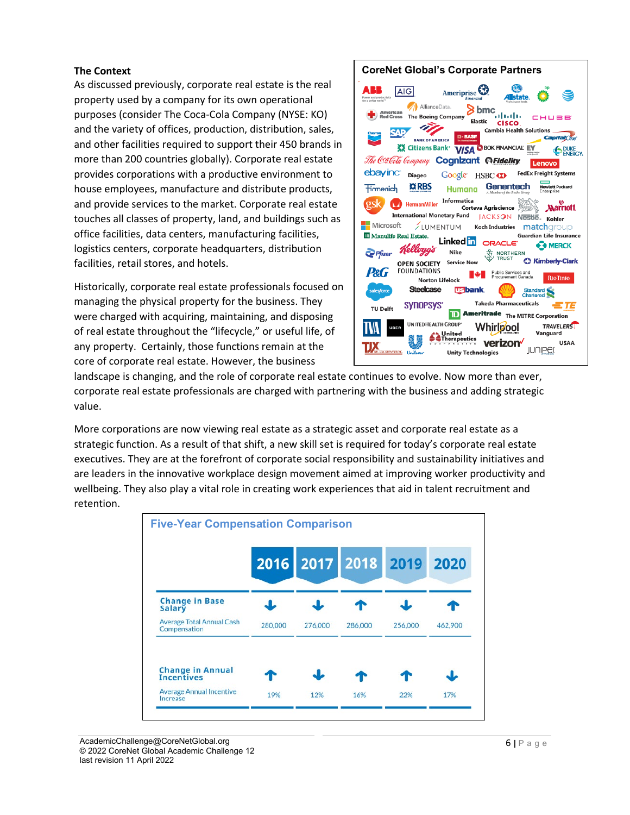#### **The Context**

As discussed previously, corporate real estate is the real property used by a company for its own operational purposes (consider The Coca-Cola Company (NYSE: KO) and the variety of offices, production, distribution, sales, and other facilities required to support their 450 brands in more than 200 countries globally). Corporate real estate provides corporations with a productive environment to house employees, manufacture and distribute products, and provide services to the market. Corporate real estate touches all classes of property, land, and buildings such as office facilities, data centers, manufacturing facilities, logistics centers, corporate headquarters, distribution facilities, retail stores, and hotels.

Historically, corporate real estate professionals focused on managing the physical property for the business. They were charged with acquiring, maintaining, and disposing of real estate throughout the "lifecycle," or useful life, of any property. Certainly, those functions remain at the core of corporate real estate. However, the business

#### **CoreNet Global's Corporate Partners** ABB **AIG** Ameriprise<sup>2</sup> AllianceData  $\sum_{\text{Elastic}} \text{bmc}_{\text{u}|\text{u}|\text{u}}$ **American**<br>Red Cross The Boeing Company **CISCO** n) **Cambia Health Soluti**  $\mathbf{C}$ anital $\cap$ no **BANK OF AMERICA XX Citizens Bank:** VISA OBOK FINANCIAL EV DUKE<br>ENERGY. The Coalcola Company Cognizant @Fidelity Lenovo ebayinc **Diageo FedEx Freight Systems** Google HSBC CO **※RBS** Genentech <del>ww</del><br>lewlett Packard **Tirmenich Humana** Informatica  $\bullet$ HermanMiller **Marriott Corteva Agriscience** International Monetary Fund JACKSON NEStle Kohler Microsoft **LUMENTUM** Koch Industries matcharoup **III** Manulife Real Estate. **Guardian Life Insurance** Linked in ORACLE<sup>®</sup> **B** MERCK Kellogg's Nike  $\sum$  Pfizer **W** NORTHERN **C3 Kimberly-Clark Service Now OPEN SOCIETY FOUNDATIONS P&G** RioTinto **Norton Lifelock Steelcase Usbank** Standard SYNOPSYS' **Takeda Pharmaceuticals** 37E **TU Delft TD** Ameritrade The MITRE Corporation UNITEDHEALTH GROUP **TRAVELERS** Whirlpool Sa United Vanguard utics verizon **USAA JUNIPE**  $41.78$ **Unity Technologies**

landscape is changing, and the role of corporate real estate continues to evolve. Now more than ever, corporate real estate professionals are charged with partnering with the business and adding strategic value.

More corporations are now viewing real estate as a strategic asset and corporate real estate as a strategic function. As a result of that shift, a new skill set is required for today's corporate real estate executives. They are at the forefront of corporate social responsibility and sustainability initiatives and are leaders in the innovative workplace design movement aimed at improving worker productivity and wellbeing. They also play a vital role in creating work experiences that aid in talent recruitment and retention.

| <b>Five-Year Compensation Comparison</b>         |         |         |         |                          |         |
|--------------------------------------------------|---------|---------|---------|--------------------------|---------|
|                                                  |         |         |         | 2016 2017 2018 2019 2020 |         |
| <b>Change in Base</b><br><b>Salary</b>           |         |         |         |                          |         |
| <b>Average Total Annual Cash</b><br>Compensation | 280,000 | 276,000 | 286,000 | 256,000                  | 462,900 |
| <b>Change in Annual</b><br><b>Incentives</b>     |         |         |         |                          |         |
| <b>Average Annual Incentive</b><br>Increase      | 19%     | 12%     | 16%     | 22%                      | 17%     |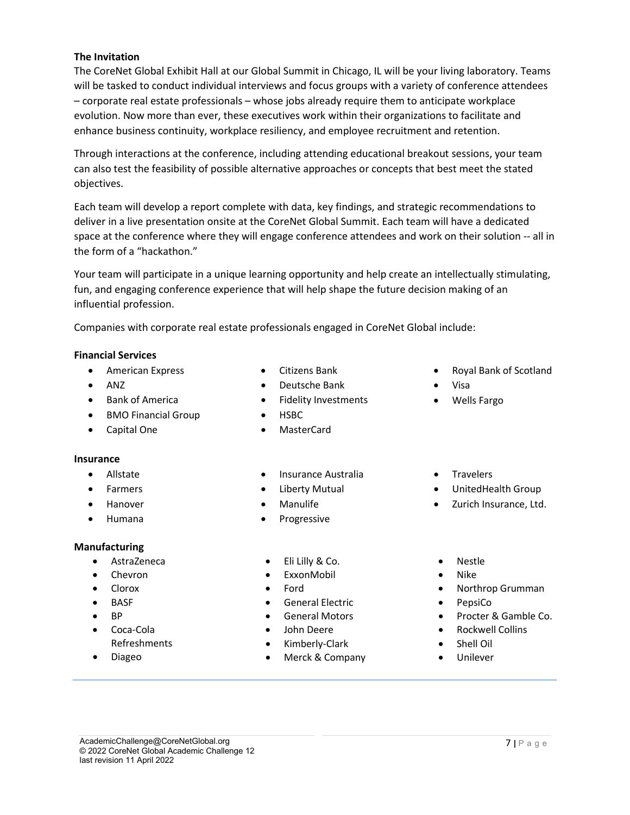#### **The Invitation**

The CoreNet Global Exhibit Hall at our Global Summit in Chicago, IL will be your living laboratory. Teams will be tasked to conduct individual interviews and focus groups with a variety of conference attendees – corporate real estate professionals – whose jobs already require them to anticipate workplace evolution. Now more than ever, these executives work within their organizations to facilitate and enhance business continuity, workplace resiliency, and employee recruitment and retention.

Through interactions at the conference, including attending educational breakout sessions, your team can also test the feasibility of possible alternative approaches or concepts that best meet the stated objectives.

Each team will develop a report complete with data, key findings, and strategic recommendations to deliver in a live presentation onsite at the CoreNet Global Summit. Each team will have a dedicated space at the conference where they will engage conference attendees and work on their solution -- all in the form of a "hackathon."

Your team will participate in a unique learning opportunity and help create an intellectually stimulating, fun, and engaging conference experience that will help shape the future decision making of an influential profession.

Companies with corporate real estate professionals engaged in CoreNet Global include:

### **Financial Services**

- American Express
- ANZ
- Bank of America
- BMO Financial Group
- Capital One

#### **Insurance**

- Allstate
- **Farmers**
- Hanover
- Humana

#### **Manufacturing**

- AstraZeneca
- Chevron
- Clorox
- BASF
- BP
- Coca-Cola
- Refreshments
- Diageo
- Citizens Bank
- Deutsche Bank
- Fidelity Investments
- HSBC
- MasterCard
- Insurance Australia
- Liberty Mutual
- **Manulife**
- **Progressive**
- Eli Lilly & Co.
- **ExxonMobil**
- Ford
- General Electric
- General Motors
- John Deere
- Kimberly-Clark
- Merck & Company
- Royal Bank of Scotland
- Visa
	- Wells Fargo
- Travelers
- UnitedHealth Group
- Zurich Insurance, Ltd.
- Nestle
- Nike
- Northrop Grumman
- PepsiCo
- Procter & Gamble Co.
- Rockwell Collins
- Shell Oil
- Unilever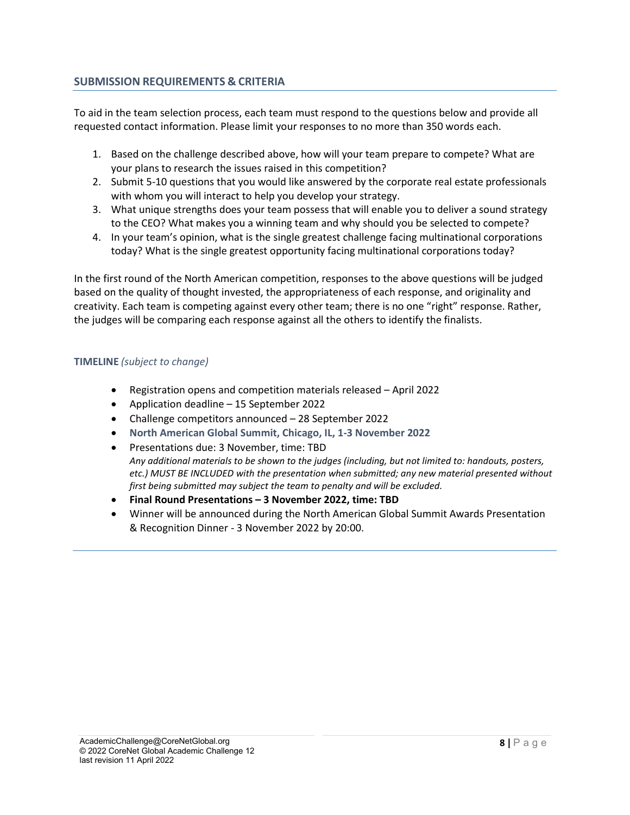#### **SUBMISSION REQUIREMENTS & CRITERIA**

To aid in the team selection process, each team must respond to the questions below and provide all requested contact information. Please limit your responses to no more than 350 words each.

- 1. Based on the challenge described above, how will your team prepare to compete? What are your plans to research the issues raised in this competition?
- 2. Submit 5-10 questions that you would like answered by the corporate real estate professionals with whom you will interact to help you develop your strategy.
- 3. What unique strengths does your team possess that will enable you to deliver a sound strategy to the CEO? What makes you a winning team and why should you be selected to compete?
- 4. In your team's opinion, what is the single greatest challenge facing multinational corporations today? What is the single greatest opportunity facing multinational corporations today?

In the first round of the North American competition, responses to the above questions will be judged based on the quality of thought invested, the appropriateness of each response, and originality and creativity. Each team is competing against every other team; there is no one "right" response. Rather, the judges will be comparing each response against all the others to identify the finalists.

#### **TIMELINE** *(subject to change)*

- Registration opens and competition materials released April 2022
- Application deadline 15 September 2022
- Challenge competitors announced 28 September 2022
- **North American Global Summit, Chicago, IL, 1-3 November 2022**
- Presentations due: 3 November, time: TBD *Any additional materials to be shown to the judges (including, but not limited to: handouts, posters, etc.) MUST BE INCLUDED with the presentation when submitted; any new material presented without first being submitted may subject the team to penalty and will be excluded.*
- **Final Round Presentations – 3 November 2022, time: TBD**
- Winner will be announced during the North American Global Summit Awards Presentation & Recognition Dinner - 3 November 2022 by 20:00.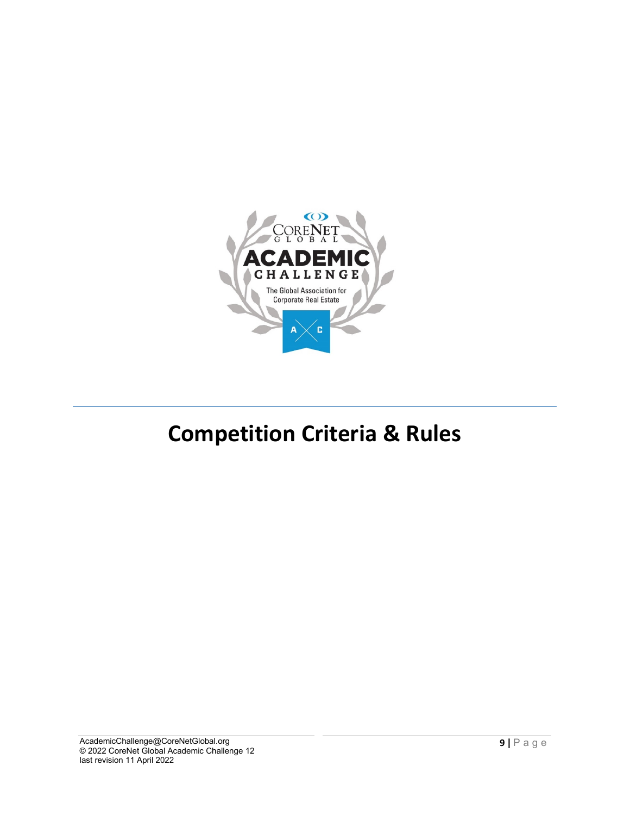

## **Competition Criteria & Rules**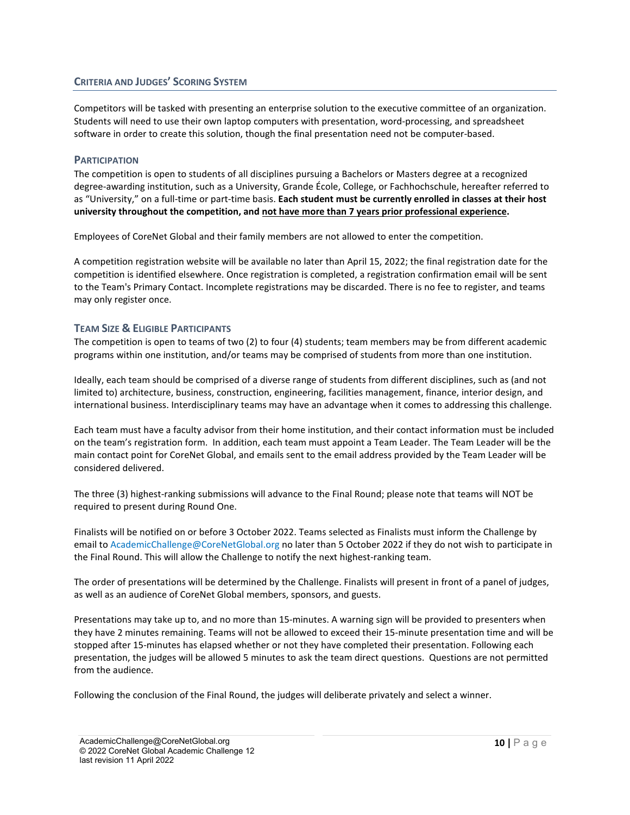#### **CRITERIA AND JUDGES' SCORING SYSTEM**

Competitors will be tasked with presenting an enterprise solution to the executive committee of an organization. Students will need to use their own laptop computers with presentation, word-processing, and spreadsheet software in order to create this solution, though the final presentation need not be computer-based.

#### **PARTICIPATION**

The competition is open to students of all disciplines pursuing a Bachelors or Masters degree at a recognized degree-awarding institution, such as a University, Grande École, College, or Fachhochschule, hereafter referred to as "University," on a full-time or part-time basis. **Each student must be currently enrolled in classes at their host university throughout the competition, and not have more than 7 years prior professional experience.**

Employees of CoreNet Global and their family members are not allowed to enter the competition.

A competition registration website will be available no later than April 15, 2022; the final registration date for the competition is identified elsewhere. Once registration is completed, a registration confirmation email will be sent to the Team's Primary Contact. Incomplete registrations may be discarded. There is no fee to register, and teams may only register once.

#### **TEAM SIZE & ELIGIBLE PARTICIPANTS**

The competition is open to teams of two (2) to four (4) students; team members may be from different academic programs within one institution, and/or teams may be comprised of students from more than one institution.

Ideally, each team should be comprised of a diverse range of students from different disciplines, such as (and not limited to) architecture, business, construction, engineering, facilities management, finance, interior design, and international business. Interdisciplinary teams may have an advantage when it comes to addressing this challenge.

Each team must have a faculty advisor from their home institution, and their contact information must be included on the team's registration form. In addition, each team must appoint a Team Leader. The Team Leader will be the main contact point for CoreNet Global, and emails sent to the email address provided by the Team Leader will be considered delivered.

The three (3) highest-ranking submissions will advance to the Final Round; please note that teams will NOT be required to present during Round One.

Finalists will be notified on or before 3 October 2022. Teams selected as Finalists must inform the Challenge by email to AcademicChallenge@CoreNetGlobal.org no later than 5 October 2022 if they do not wish to participate in the Final Round. This will allow the Challenge to notify the next highest-ranking team.

The order of presentations will be determined by the Challenge. Finalists will present in front of a panel of judges, as well as an audience of CoreNet Global members, sponsors, and guests.

Presentations may take up to, and no more than 15-minutes. A warning sign will be provided to presenters when they have 2 minutes remaining. Teams will not be allowed to exceed their 15-minute presentation time and will be stopped after 15-minutes has elapsed whether or not they have completed their presentation. Following each presentation, the judges will be allowed 5 minutes to ask the team direct questions. Questions are not permitted from the audience.

Following the conclusion of the Final Round, the judges will deliberate privately and select a winner.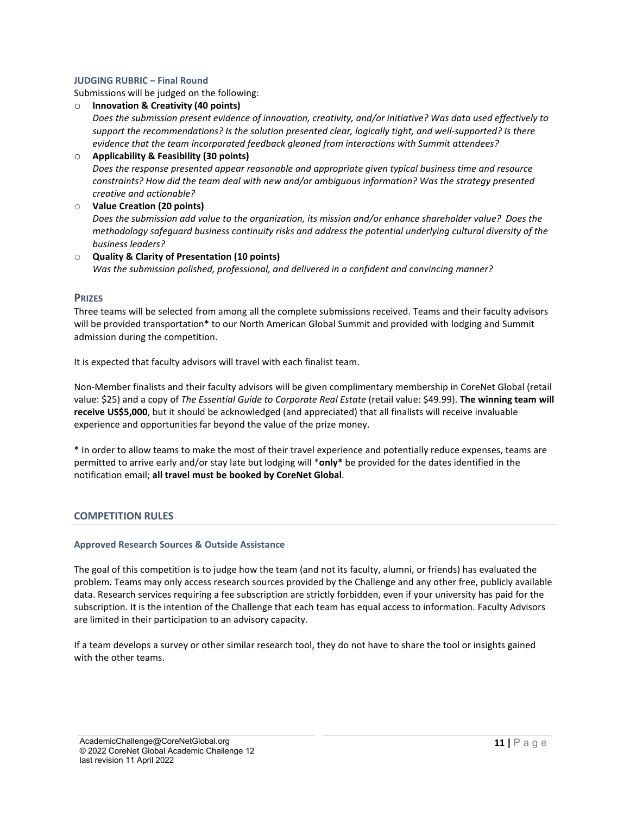#### **JUDGING RUBRIC – Final Round**

Submissions will be judged on the following:

o **Innovation & Creativity (40 points)**

*Does the submission present evidence of innovation, creativity, and/or initiative? Was data used effectively to support the recommendations? Is the solution presented clear, logically tight, and well-supported? Is there evidence that the team incorporated feedback gleaned from interactions with Summit attendees?*

#### o **Applicability & Feasibility (30 points)** *Does the response presented appear reasonable and appropriate given typical business time and resource constraints? How did the team deal with new and/or ambiguous information? Was the strategy presented creative and actionable?* o **Value Creation (20 points)**

*Does the submission add value to the organization, its mission and/or enhance shareholder value? Does the methodology safeguard business continuity risks and address the potential underlying cultural diversity of the business leaders?*

#### o **Quality & Clarity of Presentation (10 points)** *Was the submission polished, professional, and delivered in a confident and convincing manner?*

#### **PRIZES**

Three teams will be selected from among all the complete submissions received. Teams and their faculty advisors will be provided transportation\* to our North American Global Summit and provided with lodging and Summit admission during the competition.

It is expected that faculty advisors will travel with each finalist team.

Non-Member finalists and their faculty advisors will be given complimentary membership in CoreNet Global (retail value: \$25) and a copy of *The Essential Guide to Corporate Real Estate* (retail value: \$49.99). **The winning team will receive US\$5,000**, but it should be acknowledged (and appreciated) that all finalists will receive invaluable experience and opportunities far beyond the value of the prize money.

\* In order to allow teams to make the most of their travel experience and potentially reduce expenses, teams are permitted to arrive early and/or stay late but lodging will \***only\*** be provided for the dates identified in the notification email; **all travel must be booked by CoreNet Global**.

#### **COMPETITION RULES**

#### **Approved Research Sources & Outside Assistance**

The goal of this competition is to judge how the team (and not its faculty, alumni, or friends) has evaluated the problem. Teams may only access research sources provided by the Challenge and any other free, publicly available data. Research services requiring a fee subscription are strictly forbidden, even if your university has paid for the subscription. It is the intention of the Challenge that each team has equal access to information. Faculty Advisors are limited in their participation to an advisory capacity.

If a team develops a survey or other similar research tool, they do not have to share the tool or insights gained with the other teams.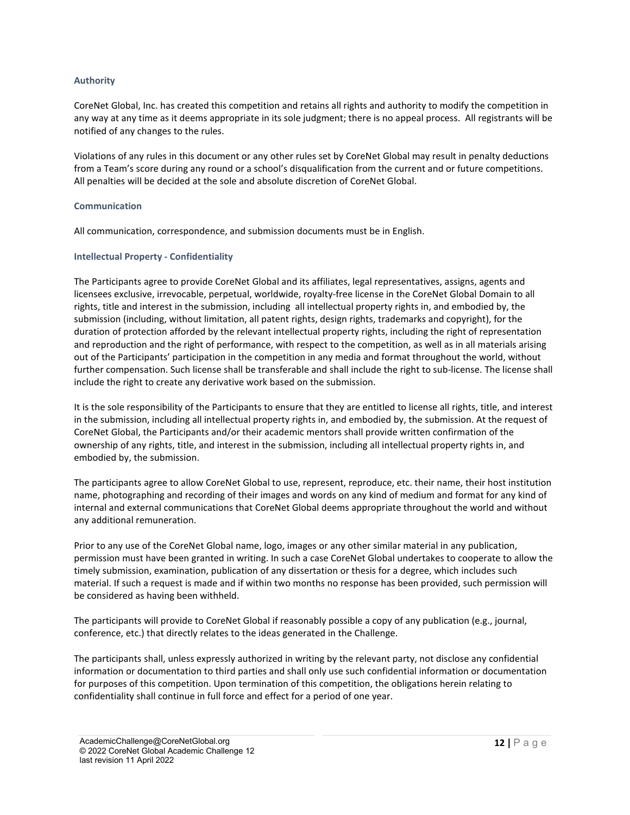#### **Authority**

CoreNet Global, Inc. has created this competition and retains all rights and authority to modify the competition in any way at any time as it deems appropriate in its sole judgment; there is no appeal process. All registrants will be notified of any changes to the rules.

Violations of any rules in this document or any other rules set by CoreNet Global may result in penalty deductions from a Team's score during any round or a school's disqualification from the current and or future competitions. All penalties will be decided at the sole and absolute discretion of CoreNet Global.

#### **Communication**

All communication, correspondence, and submission documents must be in English.

#### **Intellectual Property - Confidentiality**

The Participants agree to provide CoreNet Global and its affiliates, legal representatives, assigns, agents and licensees exclusive, irrevocable, perpetual, worldwide, royalty-free license in the CoreNet Global Domain to all rights, title and interest in the submission, including all intellectual property rights in, and embodied by, the submission (including, without limitation, all patent rights, design rights, trademarks and copyright), for the duration of protection afforded by the relevant intellectual property rights, including the right of representation and reproduction and the right of performance, with respect to the competition, as well as in all materials arising out of the Participants' participation in the competition in any media and format throughout the world, without further compensation. Such license shall be transferable and shall include the right to sub-license. The license shall include the right to create any derivative work based on the submission.

It is the sole responsibility of the Participants to ensure that they are entitled to license all rights, title, and interest in the submission, including all intellectual property rights in, and embodied by, the submission. At the request of CoreNet Global, the Participants and/or their academic mentors shall provide written confirmation of the ownership of any rights, title, and interest in the submission, including all intellectual property rights in, and embodied by, the submission.

The participants agree to allow CoreNet Global to use, represent, reproduce, etc. their name, their host institution name, photographing and recording of their images and words on any kind of medium and format for any kind of internal and external communications that CoreNet Global deems appropriate throughout the world and without any additional remuneration.

Prior to any use of the CoreNet Global name, logo, images or any other similar material in any publication, permission must have been granted in writing. In such a case CoreNet Global undertakes to cooperate to allow the timely submission, examination, publication of any dissertation or thesis for a degree, which includes such material. If such a request is made and if within two months no response has been provided, such permission will be considered as having been withheld.

The participants will provide to CoreNet Global if reasonably possible a copy of any publication (e.g., journal, conference, etc.) that directly relates to the ideas generated in the Challenge.

The participants shall, unless expressly authorized in writing by the relevant party, not disclose any confidential information or documentation to third parties and shall only use such confidential information or documentation for purposes of this competition. Upon termination of this competition, the obligations herein relating to confidentiality shall continue in full force and effect for a period of one year.